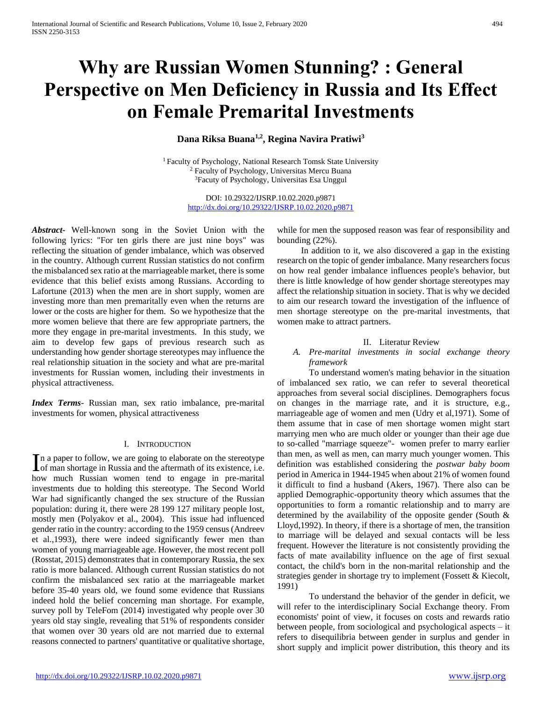# **Why are Russian Women Stunning? : General Perspective on Men Deficiency in Russia and Its Effect on Female Premarital Investments**

# **Dana Riksa Buana1,2, Regina Navira Pratiwi<sup>3</sup>**

<sup>1</sup> Faculty of Psychology, National Research Tomsk State University <sup>2</sup> Faculty of Psychology, Universitas Mercu Buana <sup>3</sup>Facuty of Psychology, Universitas Esa Unggul

> DOI: 10.29322/IJSRP.10.02.2020.p9871 <http://dx.doi.org/10.29322/IJSRP.10.02.2020.p9871>

*Abstract***-** Well-known song in the Soviet Union with the following lyrics: "For ten girls there are just nine boys" was reflecting the situation of gender imbalance, which was observed in the country. Although current Russian statistics do not confirm the misbalanced sex ratio at the marriageable market, there is some evidence that this belief exists among Russians. According to Lafortune (2013) when the men are in short supply, women are investing more than men premaritally even when the returns are lower or the costs are higher for them. So we hypothesize that the more women believe that there are few appropriate partners, the more they engage in pre-marital investments. In this study, we aim to develop few gaps of previous research such as understanding how gender shortage stereotypes may influence the real relationship situation in the society and what are pre-marital investments for Russian women, including their investments in physical attractiveness.

*Index Terms*- Russian man, sex ratio imbalance, pre-marital investments for women, physical attractiveness

## I. INTRODUCTION

n a paper to follow, we are going to elaborate on the stereotype In a paper to follow, we are going to elaborate on the stereotype<br>of man shortage in Russia and the aftermath of its existence, i.e. how much Russian women tend to engage in pre-marital investments due to holding this stereotype. The Second World War had significantly changed the sex structure of the Russian population: during it, there were 28 199 127 military people lost, mostly men (Polyakov et al., 2004). This issue had influenced gender ratio in the country: according to the 1959 census (Andreev et al.,1993), there were indeed significantly fewer men than women of young marriageable age. However, the most recent poll (Rosstat, 2015) demonstrates that in contemporary Russia, the sex ratio is more balanced. Although current Russian statistics do not confirm the misbalanced sex ratio at the marriageable market before 35-40 years old, we found some evidence that Russians indeed hold the belief concerning man shortage. For example, survey poll by TeleFom (2014) investigated why people over 30 years old stay single, revealing that 51% of respondents consider that women over 30 years old are not married due to external reasons connected to partners' quantitative or qualitative shortage,

while for men the supposed reason was fear of responsibility and bounding (22%).

In addition to it, we also discovered a gap in the existing research on the topic of gender imbalance. Many researchers focus on how real gender imbalance influences people's behavior, but there is little knowledge of how gender shortage stereotypes may affect the relationship situation in society. That is why we decided to aim our research toward the investigation of the influence of men shortage stereotype on the pre-marital investments, that women make to attract partners.

## II. Literatur Review

## *A. Pre-marital investments in social exchange theory framework*

To understand women's mating behavior in the situation of imbalanced sex ratio, we can refer to several theoretical approaches from several social disciplines. Demographers focus on changes in the marriage rate, and it is structure, e.g., marriageable age of women and men (Udry et al,1971). Some of them assume that in case of men shortage women might start marrying men who are much older or younger than their age due to so-called "marriage squeeze"- women prefer to marry earlier than men, as well as men, can marry much younger women. This definition was established considering the *postwar baby boom* period in America in 1944-1945 when about 21% of women found it difficult to find a husband (Akers, 1967). There also can be applied Demographic-opportunity theory which assumes that the opportunities to form a romantic relationship and to marry are determined by the availability of the opposite gender (South & Lloyd,1992). In theory, if there is a shortage of men, the transition to marriage will be delayed and sexual contacts will be less frequent. However the literature is not consistently providing the facts of mate availability influence on the age of first sexual contact, the child's born in the non-marital relationship and the strategies gender in shortage try to implement (Fossett & Kiecolt, 1991)

To understand the behavior of the gender in deficit, we will refer to the interdisciplinary Social Exchange theory. From economists' point of view, it focuses on costs and rewards ratio between people, from sociological and psychological aspects – it refers to disequilibria between gender in surplus and gender in short supply and implicit power distribution, this theory and its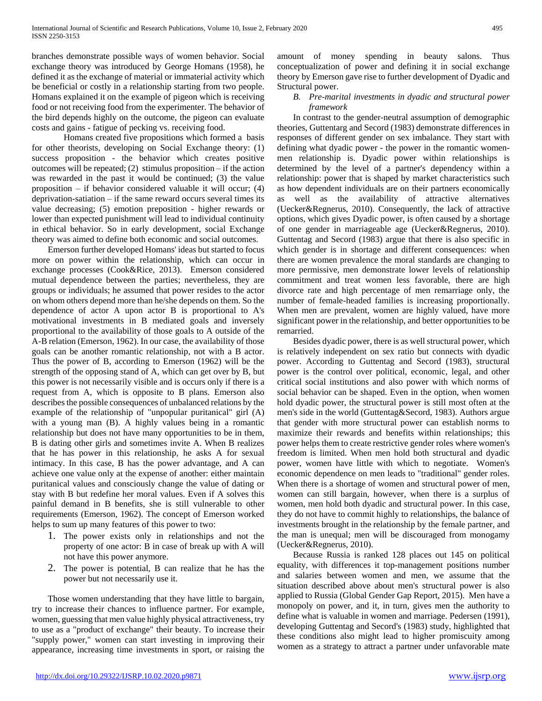branches demonstrate possible ways of women behavior. Social exchange theory was introduced by George Homans (1958), he defined it as the exchange of material or immaterial activity which be beneficial or costly in a relationship starting from two people. Homans explained it on the example of pigeon which is receiving food or not receiving food from the experimenter. The behavior of the bird depends highly on the outcome, the pigeon can evaluate costs and gains - fatigue of pecking vs. receiving food.

Homans created five propositions which formed a basis for other theorists, developing on Social Exchange theory: (1) success proposition - the behavior which creates positive outcomes will be repeated; (2) stimulus proposition  $-$  if the action was rewarded in the past it would be continued; (3) the value proposition – if behavior considered valuable it will occur; (4) deprivation-satiation – if the same reward occurs several times its value decreasing; (5) emotion preposition - higher rewards or lower than expected punishment will lead to individual continuity in ethical behavior. So in early development, social Exchange theory was aimed to define both economic and social outcomes.

Emerson further developed Homans' ideas but started to focus more on power within the relationship, which can occur in exchange processes (Cook&Rice, 2013). Emerson considered mutual dependence between the parties; nevertheless, they are groups or individuals; he assumed that power resides to the actor on whom others depend more than he/she depends on them. So the dependence of actor A upon actor B is proportional to A's motivational investments in B mediated goals and inversely proportional to the availability of those goals to A outside of the A-B relation (Emerson, 1962). In our case, the availability of those goals can be another romantic relationship, not with a B actor. Thus the power of B, according to Emerson (1962) will be the strength of the opposing stand of A, which can get over by B, but this power is not necessarily visible and is occurs only if there is a request from A, which is opposite to B plans. Emerson also describes the possible consequences of unbalanced relations by the example of the relationship of "unpopular puritanical" girl (A) with a young man (B). A highly values being in a romantic relationship but does not have many opportunities to be in them, B is dating other girls and sometimes invite A. When B realizes that he has power in this relationship, he asks A for sexual intimacy. In this case, B has the power advantage, and A can achieve one value only at the expense of another: either maintain puritanical values and consciously change the value of dating or stay with B but redefine her moral values. Even if A solves this painful demand in B benefits, she is still vulnerable to other requirements (Emerson, 1962). The concept of Emerson worked helps to sum up many features of this power to two:

- 1. The power exists only in relationships and not the property of one actor: B in case of break up with A will not have this power anymore.
- 2. The power is potential, B can realize that he has the power but not necessarily use it.

Those women understanding that they have little to bargain, try to increase their chances to influence partner. For example, women, guessing that men value highly physical attractiveness, try to use as a "product of exchange" their beauty. To increase their "supply power," women can start investing in improving their appearance, increasing time investments in sport, or raising the

amount of money spending in beauty salons. Thus conceptualization of power and defining it in social exchange theory by Emerson gave rise to further development of Dyadic and Structural power.

## *B. Pre-marital investments in dyadic and structural power framework*

In contrast to the gender-neutral assumption of demographic theories, Guttentarg and Secord (1983) demonstrate differences in responses of different gender on sex imbalance. They start with defining what dyadic power - the power in the romantic womenmen relationship is. Dyadic power within relationships is determined by the level of a partner's dependency within a relationship: power that is shaped by market characteristics such as how dependent individuals are on their partners economically as well as the availability of attractive alternatives (Uecker&Regnerus, 2010). Consequently, the lack of attractive options, which gives Dyadic power, is often caused by a shortage of one gender in marriageable age (Uecker&Regnerus, 2010). Guttentag and Secord (1983) argue that there is also specific in which gender is in shortage and different consequences: when there are women prevalence the moral standards are changing to more permissive, men demonstrate lower levels of relationship commitment and treat women less favorable, there are high divorce rate and high percentage of men remarriage only, the number of female-headed families is increasing proportionally. When men are prevalent, women are highly valued, have more significant power in the relationship, and better opportunities to be remarried.

Besides dyadic power, there is as well structural power, which is relatively independent on sex ratio but connects with dyadic power. According to Guttentag and Secord (1983), structural power is the control over political, economic, legal, and other critical social institutions and also power with which norms of social behavior can be shaped. Even in the option, when women hold dyadic power, the structural power is still most often at the men's side in the world (Guttentag&Secord, 1983). Authors argue that gender with more structural power can establish norms to maximize their rewards and benefits within relationships; this power helps them to create restrictive gender roles where women's freedom is limited. When men hold both structural and dyadic power, women have little with which to negotiate. Women's economic dependence on men leads to "traditional" gender roles. When there is a shortage of women and structural power of men, women can still bargain, however, when there is a surplus of women, men hold both dyadic and structural power. In this case, they do not have to commit highly to relationships, the balance of investments brought in the relationship by the female partner, and the man is unequal; men will be discouraged from monogamy (Uecker&Regnerus, 2010).

Because Russia is ranked 128 places out 145 on political equality, with differences it top-management positions number and salaries between women and men, we assume that the situation described above about men's structural power is also applied to Russia (Global Gender Gap Report, 2015). Men have a monopoly on power, and it, in turn, gives men the authority to define what is valuable in women and marriage. Pedersen (1991), developing Guttentag and Secord's (1983) study, highlighted that these conditions also might lead to higher promiscuity among women as a strategy to attract a partner under unfavorable mate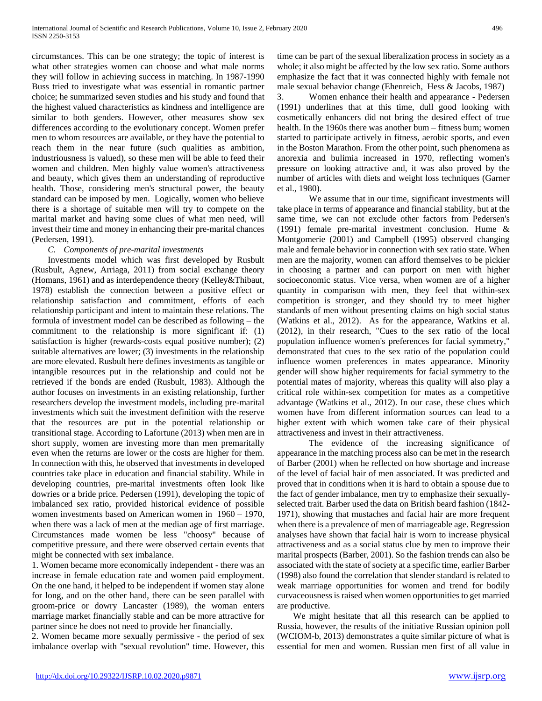circumstances. This can be one strategy; the topic of interest is what other strategies women can choose and what male norms they will follow in achieving success in matching. In 1987-1990 Buss tried to investigate what was essential in romantic partner choice; he summarized seven studies and his study and found that the highest valued characteristics as kindness and intelligence are similar to both genders. However, other measures show sex differences according to the evolutionary concept. Women prefer men to whom resources are available, or they have the potential to reach them in the near future (such qualities as ambition, industriousness is valued), so these men will be able to feed their women and children. Men highly value women's attractiveness and beauty, which gives them an understanding of reproductive health. Those, considering men's structural power, the beauty standard can be imposed by men. Logically, women who believe there is a shortage of suitable men will try to compete on the marital market and having some clues of what men need, will invest their time and money in enhancing their pre-marital chances (Pedersen, 1991).

## *C. Components of pre-marital investments*

Investments model which was first developed by Rusbult (Rusbult, Agnew, Arriaga, 2011) from social exchange theory (Homans, 1961) and as interdependence theory (Kelley&Thibaut, 1978) establish the connection between a positive effect or relationship satisfaction and commitment, efforts of each relationship participant and intent to maintain these relations. The formula of investment model can be described as following – the commitment to the relationship is more significant if: (1) satisfaction is higher (rewards-costs equal positive number); (2) suitable alternatives are lower; (3) investments in the relationship are more elevated. Rusbult here defines investments as tangible or intangible resources put in the relationship and could not be retrieved if the bonds are ended (Rusbult, 1983). Although the author focuses on investments in an existing relationship, further researchers develop the investment models, including pre-marital investments which suit the investment definition with the reserve that the resources are put in the potential relationship or transitional stage. According to Lafortune (2013) when men are in short supply, women are investing more than men premaritally even when the returns are lower or the costs are higher for them. In connection with this, he observed that investments in developed countries take place in education and financial stability. While in developing countries, pre-marital investments often look like dowries or a bride price. Pedersen (1991), developing the topic of imbalanced sex ratio, provided historical evidence of possible women investments based on American women in 1960 – 1970, when there was a lack of men at the median age of first marriage. Circumstances made women be less "choosy" because of competitive pressure, and there were observed certain events that might be connected with sex imbalance.

1. Women became more economically independent - there was an increase in female education rate and women paid employment. On the one hand, it helped to be independent if women stay alone for long, and on the other hand, there can be seen parallel with groom-price or dowry Lancaster (1989), the woman enters marriage market financially stable and can be more attractive for partner since he does not need to provide her financially.

2. Women became more sexually permissive - the period of sex imbalance overlap with "sexual revolution" time. However, this

time can be part of the sexual liberalization process in society as a whole; it also might be affected by the low sex ratio. Some authors emphasize the fact that it was connected highly with female not male sexual behavior change (Ehenreich, Hess & Jacobs, 1987)

3. Women enhance their health and appearance - Pedersen (1991) underlines that at this time, dull good looking with cosmetically enhancers did not bring the desired effect of true health. In the 1960s there was another bum – fitness bum; women started to participate actively in fitness, aerobic sports, and even in the Boston Marathon. From the other point, such phenomena as anorexia and bulimia increased in 1970, reflecting women's pressure on looking attractive and, it was also proved by the number of articles with diets and weight loss techniques (Garner et al., 1980).

We assume that in our time, significant investments will take place in terms of appearance and financial stability, but at the same time, we can not exclude other factors from Pedersen's (1991) female pre-marital investment conclusion. Hume & Montgomerie (2001) and Campbell (1995) observed changing male and female behavior in connection with sex ratio state. When men are the majority, women can afford themselves to be pickier in choosing a partner and can purport on men with higher socioeconomic status. Vice versa, when women are of a higher quantity in comparison with men, they feel that within-sex competition is stronger, and they should try to meet higher standards of men without presenting claims on high social status (Watkins et al., 2012). As for the appearance, Watkins et al. (2012), in their research, "Cues to the sex ratio of the local population influence women's preferences for facial symmetry," demonstrated that cues to the sex ratio of the population could influence women preferences in mates appearance. Minority gender will show higher requirements for facial symmetry to the potential mates of majority, whereas this quality will also play a critical role within-sex competition for mates as a competitive advantage (Watkins et al., 2012). In our case, these clues which women have from different information sources can lead to a higher extent with which women take care of their physical attractiveness and invest in their attractiveness.

The evidence of the increasing significance of appearance in the matching process also can be met in the research of Barber (2001) when he reflected on how shortage and increase of the level of facial hair of men associated. It was predicted and proved that in conditions when it is hard to obtain a spouse due to the fact of gender imbalance, men try to emphasize their sexuallyselected trait. Barber used the data on British beard fashion (1842- 1971), showing that mustaches and facial hair are more frequent when there is a prevalence of men of marriageable age. Regression analyses have shown that facial hair is worn to increase physical attractiveness and as a social status clue by men to improve their marital prospects (Barber, 2001). So the fashion trends can also be associated with the state of society at a specific time, earlier Barber (1998) also found the correlation that slender standard is related to weak marriage opportunities for women and trend for bodily curvaceousness is raised when women opportunities to get married are productive.

We might hesitate that all this research can be applied to Russia, however, the results of the initiative Russian opinion poll (WCIOM-b, 2013) demonstrates a quite similar picture of what is essential for men and women. Russian men first of all value in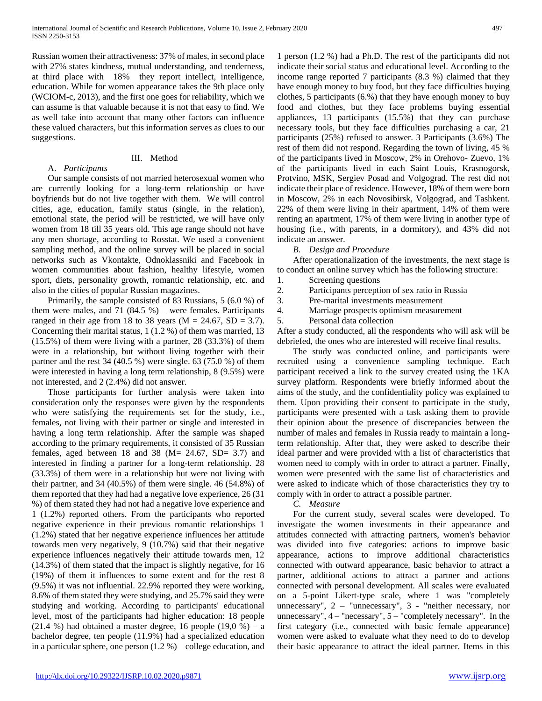Russian women their attractiveness: 37% of males, in second place with 27% states kindness, mutual understanding, and tenderness, at third place with 18% they report intellect, intelligence, education. While for women appearance takes the 9th place only (WCIOM-c, 2013), and the first one goes for reliability, which we can assume is that valuable because it is not that easy to find. We as well take into account that many other factors can influence these valued characters, but this information serves as clues to our suggestions.

## III. Method

## A. *Participants*

Our sample consists of not married heterosexual women who are currently looking for a long-term relationship or have boyfriends but do not live together with them. We will control cities, age, education, family status (single, in the relation), emotional state, the period will be restricted, we will have only women from 18 till 35 years old. This age range should not have any men shortage, according to Rosstat. We used a convenient sampling method, and the online survey will be placed in social networks such as Vkontakte, Odnoklassniki and Facebook in women communities about fashion, healthy lifestyle, women sport, diets, personality growth, romantic relationship, etc. and also in the cities of popular Russian magazines.

Primarily, the sample consisted of 83 Russians, 5 (6.0 %) of them were males, and 71  $(84.5 %)$  – were females. Participants ranged in their age from 18 to 38 years ( $M = 24.67$ ,  $SD = 3.7$ ). Concerning their marital status, 1 (1.2 %) of them was married, 13 (15.5%) of them were living with a partner, 28 (33.3%) of them were in a relationship, but without living together with their partner and the rest  $34$  (40.5 %) were single. 63 (75.0 %) of them were interested in having a long term relationship, 8 (9.5%) were not interested, and 2 (2.4%) did not answer.

Those participants for further analysis were taken into consideration only the responses were given by the respondents who were satisfying the requirements set for the study, i.e., females, not living with their partner or single and interested in having a long term relationship. After the sample was shaped according to the primary requirements, it consisted of 35 Russian females, aged between 18 and 38 ( $M = 24.67$ , SD= 3.7) and interested in finding a partner for a long-term relationship. 28 (33.3%) of them were in a relationship but were not living with their partner, and 34 (40.5%) of them were single. 46 (54.8%) of them reported that they had had a negative love experience, 26 (31 %) of them stated they had not had a negative love experience and 1 (1.2%) reported others. From the participants who reported negative experience in their previous romantic relationships 1 (1.2%) stated that her negative experience influences her attitude towards men very negatively, 9 (10.7%) said that their negative experience influences negatively their attitude towards men, 12 (14.3%) of them stated that the impact is slightly negative, for 16 (19%) of them it influences to some extent and for the rest 8 (9.5%) it was not influential. 22.9% reported they were working, 8.6% of them stated they were studying, and 25.7% said they were studying and working. According to participants' educational level, most of the participants had higher education: 18 people  $(21.4 \%)$  had obtained a master degree, 16 people  $(19.0 \%)$  – a bachelor degree, ten people (11.9%) had a specialized education in a particular sphere, one person  $(1.2 \%)$  – college education, and

1 person (1.2 %) had a Ph.D. The rest of the participants did not indicate their social status and educational level. According to the income range reported 7 participants (8.3 %) claimed that they have enough money to buy food, but they face difficulties buying clothes, 5 participants (6.%) that they have enough money to buy food and clothes, but they face problems buying essential appliances, 13 participants (15.5%) that they can purchase necessary tools, but they face difficulties purchasing a car, 21 participants (25%) refused to answer. 3 Participants (3.6%) The rest of them did not respond. Regarding the town of living, 45 % of the participants lived in Moscow, 2% in Orehovo- Zuevo, 1% of the participants lived in each Saint Louis, Krasnogorsk, Protvino, MSK, Sergiev Posad and Volgograd. The rest did not indicate their place of residence. However, 18% of them were born in Moscow, 2% in each Novosibirsk, Volgograd, and Tashkent. 22% of them were living in their apartment, 14% of them were renting an apartment, 17% of them were living in another type of housing (i.e., with parents, in a dormitory), and 43% did not indicate an answer.

### *B. Design and Procedure*

After operationalization of the investments, the next stage is to conduct an online survey which has the following structure:

- 1. Screening questions
- 2. Participants perception of sex ratio in Russia
- 3. Pre-marital investments measurement
- 4. Marriage prospects optimism measurement

5. Personal data collection

After a study conducted, all the respondents who will ask will be debriefed, the ones who are interested will receive final results.

The study was conducted online, and participants were recruited using a convenience sampling technique. Each participant received a link to the survey created using the 1KA survey platform. Respondents were briefly informed about the aims of the study, and the confidentiality policy was explained to them. Upon providing their consent to participate in the study, participants were presented with a task asking them to provide their opinion about the presence of discrepancies between the number of males and females in Russia ready to maintain a longterm relationship. After that, they were asked to describe their ideal partner and were provided with a list of characteristics that women need to comply with in order to attract a partner. Finally, women were presented with the same list of characteristics and were asked to indicate which of those characteristics they try to comply with in order to attract a possible partner.

*C. Measure*

For the current study, several scales were developed. To investigate the women investments in their appearance and attitudes connected with attracting partners, women's behavior was divided into five categories: actions to improve basic appearance, actions to improve additional characteristics connected with outward appearance, basic behavior to attract a partner, additional actions to attract a partner and actions connected with personal development. All scales were evaluated on a 5-point Likert-type scale, where 1 was "completely unnecessary", 2 – "unnecessary", 3 - "neither necessary, nor unnecessary",  $4 -$ "necessary",  $5 -$ "completely necessary". In the first category (i.e., connected with basic female appearance) women were asked to evaluate what they need to do to develop their basic appearance to attract the ideal partner. Items in this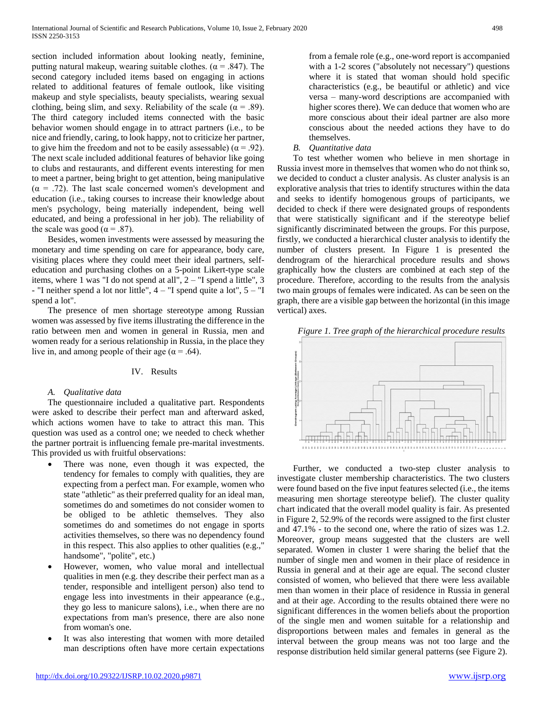section included information about looking neatly, feminine, putting natural makeup, wearing suitable clothes. ( $\alpha$  = .847). The second category included items based on engaging in actions related to additional features of female outlook, like visiting makeup and style specialists, beauty specialists, wearing sexual clothing, being slim, and sexy. Reliability of the scale ( $\alpha = .89$ ). The third category included items connected with the basic behavior women should engage in to attract partners (i.e., to be nice and friendly, caring, to look happy, not to criticize her partner, to give him the freedom and not to be easily assessable) ( $\alpha = .92$ ). The next scale included additional features of behavior like going to clubs and restaurants, and different events interesting for men to meet a partner, being bright to get attention, being manipulative  $(\alpha = .72)$ . The last scale concerned women's development and education (i.e., taking courses to increase their knowledge about men's psychology, being materially independent, being well educated, and being a professional in her job). The reliability of the scale was good ( $\alpha$  = .87).

Besides, women investments were assessed by measuring the monetary and time spending on care for appearance, body care, visiting places where they could meet their ideal partners, selfeducation and purchasing clothes on a 5-point Likert-type scale items, where 1 was "I do not spend at all", 2 – "I spend a little", 3 - "I neither spend a lot nor little",  $4 -$  "I spend quite a lot",  $5 -$  "I spend a lot".

The presence of men shortage stereotype among Russian women was assessed by five items illustrating the difference in the ratio between men and women in general in Russia, men and women ready for a serious relationship in Russia, in the place they live in, and among people of their age ( $\alpha$  = .64).

#### IV. Results

## *A. Qualitative data*

The questionnaire included a qualitative part. Respondents were asked to describe their perfect man and afterward asked, which actions women have to take to attract this man. This question was used as a control one; we needed to check whether the partner portrait is influencing female pre-marital investments. This provided us with fruitful observations:

- There was none, even though it was expected, the tendency for females to comply with qualities, they are expecting from a perfect man. For example, women who state "athletic" as their preferred quality for an ideal man, sometimes do and sometimes do not consider women to be obliged to be athletic themselves. They also sometimes do and sometimes do not engage in sports activities themselves, so there was no dependency found in this respect. This also applies to other qualities (e.g.," handsome", "polite", etc.)
- However, women, who value moral and intellectual qualities in men (e.g. they describe their perfect man as a tender, responsible and intelligent person) also tend to engage less into investments in their appearance (e.g., they go less to manicure salons), i.e., when there are no expectations from man's presence, there are also none from woman's one.
- It was also interesting that women with more detailed man descriptions often have more certain expectations

from a female role (e.g., one-word report is accompanied with a 1-2 scores ("absolutely not necessary") questions where it is stated that woman should hold specific characteristics (e.g., be beautiful or athletic) and vice versa – many-word descriptions are accompanied with higher scores there). We can deduce that women who are more conscious about their ideal partner are also more conscious about the needed actions they have to do themselves.

*B. Quantitative data*

To test whether women who believe in men shortage in Russia invest more in themselves that women who do not think so, we decided to conduct a cluster analysis. As cluster analysis is an explorative analysis that tries to identify structures within the data and seeks to identify homogenous groups of participants, we decided to check if there were designated groups of respondents that were statistically significant and if the stereotype belief significantly discriminated between the groups. For this purpose, firstly, we conducted a hierarchical cluster analysis to identify the number of clusters present. In Figure 1 is presented the dendrogram of the hierarchical procedure results and shows graphically how the clusters are combined at each step of the procedure. Therefore, according to the results from the analysis two main groups of females were indicated. As can be seen on the graph, there are a visible gap between the horizontal (in this image vertical) axes.

*Figure 1. Tree graph of the hierarchical procedure results*



Further, we conducted a two-step cluster analysis to investigate cluster membership characteristics. The two clusters were found based on the five input features selected (i.e., the items measuring men shortage stereotype belief). The cluster quality chart indicated that the overall model quality is fair. As presented in Figure 2, 52.9% of the records were assigned to the first cluster and 47.1% - to the second one, where the ratio of sizes was 1.2. Moreover, group means suggested that the clusters are well separated. Women in cluster 1 were sharing the belief that the number of single men and women in their place of residence in Russia in general and at their age are equal. The second cluster consisted of women, who believed that there were less available men than women in their place of residence in Russia in general and at their age. According to the results obtained there were no significant differences in the women beliefs about the proportion of the single men and women suitable for a relationship and disproportions between males and females in general as the interval between the group means was not too large and the response distribution held similar general patterns (see Figure 2).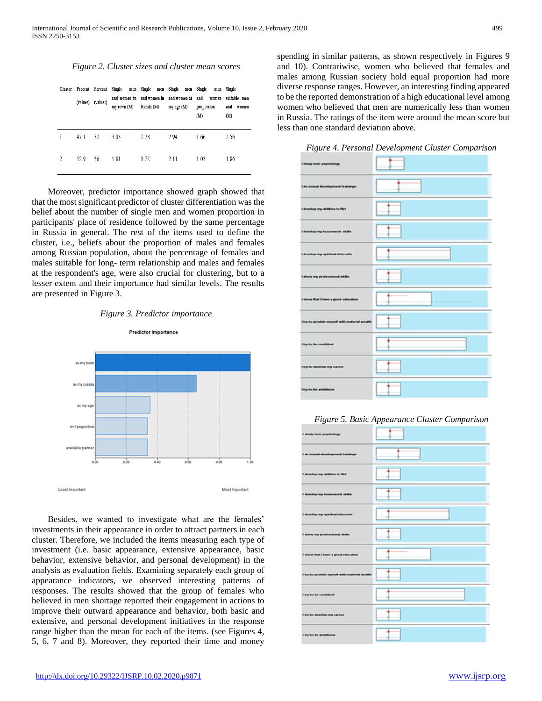*Figure 2. Cluster sizes and cluster mean scores*

|                |      | (values) (values) | my town (M) |      | and women in and women in and women at and<br>Russia (M) my age (M) | Cluster Percent Percent Single men Single men Single men Single men Single<br>women<br>proportion<br>(M) | suitable men<br>and<br>women<br>(M) |
|----------------|------|-------------------|-------------|------|---------------------------------------------------------------------|----------------------------------------------------------------------------------------------------------|-------------------------------------|
|                | 47.1 | 32                | 3.03        | 2.78 | 2.94                                                                | 1.66                                                                                                     | 2.56                                |
| $\mathfrak{D}$ | 52.9 | 36                | 1.81        | 1.72 | 2.11                                                                | 1.03                                                                                                     | 1.86                                |

Moreover, predictor importance showed graph showed that that the most significant predictor of cluster differentiation was the belief about the number of single men and women proportion in participants' place of residence followed by the same percentage in Russia in general. The rest of the items used to define the cluster, i.e., beliefs about the proportion of males and females among Russian population, about the percentage of females and males suitable for long- term relationship and males and females at the respondent's age, were also crucial for clustering, but to a lesser extent and their importance had similar levels. The results are presented in Figure 3.





Besides, we wanted to investigate what are the females' investments in their appearance in order to attract partners in each cluster. Therefore, we included the items measuring each type of investment (i.e. basic appearance, extensive appearance, basic behavior, extensive behavior, and personal development) in the analysis as evaluation fields. Examining separately each group of appearance indicators, we observed interesting patterns of responses. The results showed that the group of females who believed in men shortage reported their engagement in actions to improve their outward appearance and behavior, both basic and extensive, and personal development initiatives in the response range higher than the mean for each of the items. (see Figures 4, 5, 6, 7 and 8). Moreover, they reported their time and money

spending in similar patterns, as shown respectively in Figures 9 and 10). Contrariwise, women who believed that females and males among Russian society hold equal proportion had more diverse response ranges. However, an interesting finding appeared to be the reported demonstration of a high educational level among women who believed that men are numerically less than women in Russia. The ratings of the item were around the mean score but less than one standard deviation above.

*Figure 4. Personal Development Cluster Comparison*



*Figure 5. Basic Appearance Cluster Comparison*

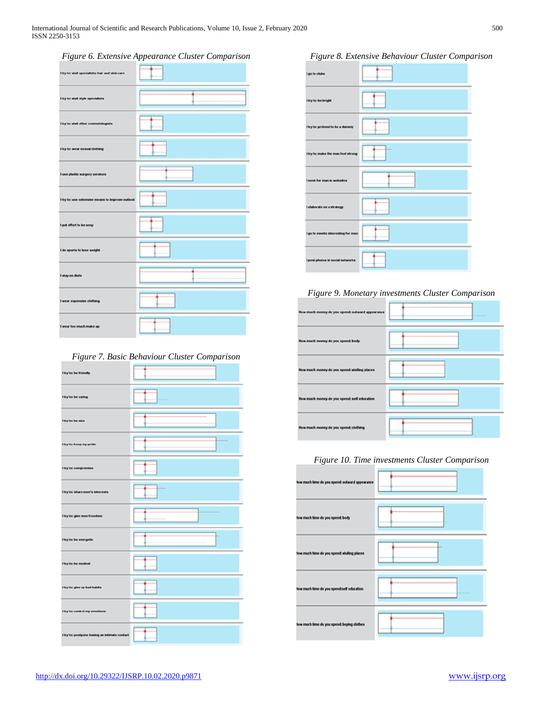## *Figure 6. Extensive Appearance Cluster Comparison*

| $\sim$<br>Hey for wink specialistic hair and skin care | . . |
|--------------------------------------------------------|-----|
| <b><i><u>Etcy to: winit white specialists</u></i></b>  |     |
| I try to: visit other counctologists                   |     |
| <b>Hyte wear sense dething</b>                         |     |
| I use plastic surgery services                         |     |
| Hry ta: use extensive means to improve authori-        |     |
| I got effort to be sexy                                |     |
| I do sports to lose weight                             |     |
| I stay on diets                                        |     |
| I wear expensive clothing                              |     |
| I wear too much make up                                |     |

## *Figure 7. Basic Behaviour Cluster Comparison*

| I try ta: be friendly                         |      |
|-----------------------------------------------|------|
| <b>I try ta: be caring</b>                    |      |
| I try ta: be nice                             |      |
| I try ta: heep my pride                       |      |
| I try ta: compromise                          |      |
| I try to: share men's interests               |      |
| I by he give men freedom                      | ____ |
| I try to: be energetic                        | ı.   |
| I try ta: be modest                           |      |
| I try ta: give up bad habits                  |      |
| I try ta: control my emotions                 |      |
| I bry far powlpone having an intimate contact |      |

*Figure 8. Extensive Behaviour Cluster Comparison*



# *Figure 9. Monetary investments Cluster Comparison*



## *Figure 10. Time investments Cluster Comparison*

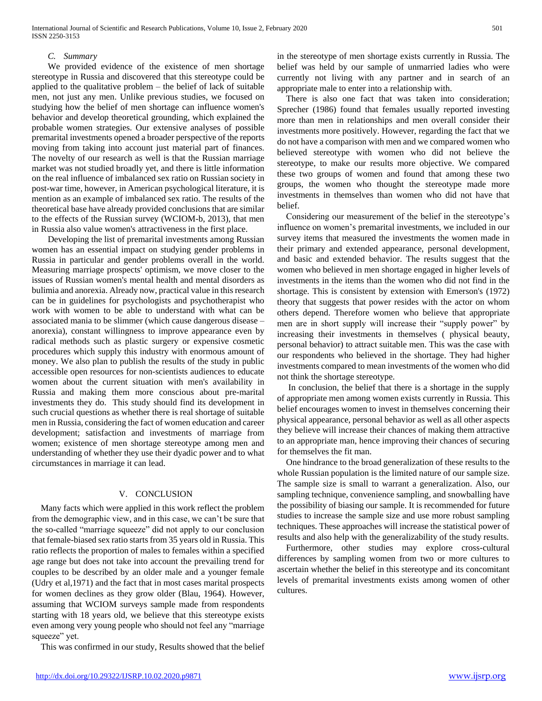## *C. Summary*

We provided evidence of the existence of men shortage stereotype in Russia and discovered that this stereotype could be applied to the qualitative problem – the belief of lack of suitable men, not just any men. Unlike previous studies, we focused on studying how the belief of men shortage can influence women's behavior and develop theoretical grounding, which explained the probable women strategies. Our extensive analyses of possible premarital investments opened a broader perspective of the reports moving from taking into account just material part of finances. The novelty of our research as well is that the Russian marriage market was not studied broadly yet, and there is little information on the real influence of imbalanced sex ratio on Russian society in post-war time, however, in American psychological literature, it is mention as an example of imbalanced sex ratio. The results of the theoretical base have already provided conclusions that are similar to the effects of the Russian survey (WCIOM-b, 2013), that men in Russia also value women's attractiveness in the first place.

Developing the list of premarital investments among Russian women has an essential impact on studying gender problems in Russia in particular and gender problems overall in the world. Measuring marriage prospects' optimism, we move closer to the issues of Russian women's mental health and mental disorders as bulimia and anorexia. Already now, practical value in this research can be in guidelines for psychologists and psychotherapist who work with women to be able to understand with what can be associated mania to be slimmer (which cause dangerous disease – anorexia), constant willingness to improve appearance even by radical methods such as plastic surgery or expensive cosmetic procedures which supply this industry with enormous amount of money. We also plan to publish the results of the study in public accessible open resources for non-scientists audiences to educate women about the current situation with men's availability in Russia and making them more conscious about pre-marital investments they do. This study should find its development in such crucial questions as whether there is real shortage of suitable men in Russia, considering the fact of women education and career development; satisfaction and investments of marriage from women; existence of men shortage stereotype among men and understanding of whether they use their dyadic power and to what circumstances in marriage it can lead.

#### V. CONCLUSION

Many facts which were applied in this work reflect the problem from the demographic view, and in this case, we can't be sure that the so-called "marriage squeeze" did not apply to our conclusion that female-biased sex ratio starts from 35 years old in Russia. This ratio reflects the proportion of males to females within a specified age range but does not take into account the prevailing trend for couples to be described by an older male and a younger female (Udry et al,1971) and the fact that in most cases marital prospects for women declines as they grow older (Blau, 1964). However, assuming that WCIOM surveys sample made from respondents starting with 18 years old, we believe that this stereotype exists even among very young people who should not feel any "marriage squeeze" yet.

This was confirmed in our study, Results showed that the belief

in the stereotype of men shortage exists currently in Russia. The belief was held by our sample of unmarried ladies who were currently not living with any partner and in search of an appropriate male to enter into a relationship with.

There is also one fact that was taken into consideration; Sprecher (1986) found that females usually reported investing more than men in relationships and men overall consider their investments more positively. However, regarding the fact that we do not have a comparison with men and we compared women who believed stereotype with women who did not believe the stereotype, to make our results more objective. We compared these two groups of women and found that among these two groups, the women who thought the stereotype made more investments in themselves than women who did not have that belief.

Considering our measurement of the belief in the stereotype's influence on women's premarital investments, we included in our survey items that measured the investments the women made in their primary and extended appearance, personal development, and basic and extended behavior. The results suggest that the women who believed in men shortage engaged in higher levels of investments in the items than the women who did not find in the shortage. This is consistent by extension with Emerson's (1972) theory that suggests that power resides with the actor on whom others depend. Therefore women who believe that appropriate men are in short supply will increase their "supply power" by increasing their investments in themselves ( physical beauty, personal behavior) to attract suitable men. This was the case with our respondents who believed in the shortage. They had higher investments compared to mean investments of the women who did not think the shortage stereotype.

In conclusion, the belief that there is a shortage in the supply of appropriate men among women exists currently in Russia. This belief encourages women to invest in themselves concerning their physical appearance, personal behavior as well as all other aspects they believe will increase their chances of making them attractive to an appropriate man, hence improving their chances of securing for themselves the fit man.

One hindrance to the broad generalization of these results to the whole Russian population is the limited nature of our sample size. The sample size is small to warrant a generalization. Also, our sampling technique, convenience sampling, and snowballing have the possibility of biasing our sample. It is recommended for future studies to increase the sample size and use more robust sampling techniques. These approaches will increase the statistical power of results and also help with the generalizability of the study results.

Furthermore, other studies may explore cross-cultural differences by sampling women from two or more cultures to ascertain whether the belief in this stereotype and its concomitant levels of premarital investments exists among women of other cultures.